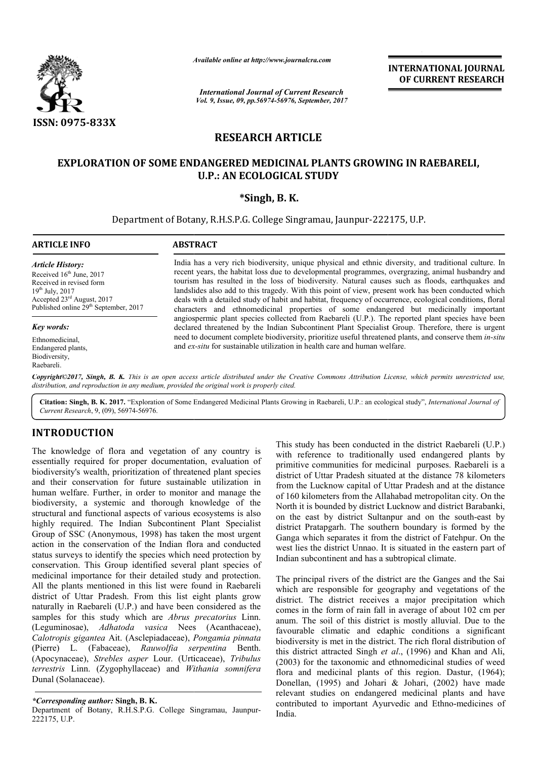

*Available online at http://www.journal http://www.journalcra.com*

*International Journal of Current Research Vol. 9, Issue, 09, pp.56974-56976, September, 2017* **INTERNATIONAL JOURNAL OF CURRENT RESEARCH** 

## **RESEARCH ARTICLE**

## **EXPLORATION OF SOME ENDANGERED MEDICINAL PLANTS GROWING IN RAEBARELI, PLANTS GROWING U.P.: AN ECOLOGICAL STUDY**

### **\*Singh, B. K.**

Department of Botany, R.H.S.P.G. College Singramau, Jaunpur-222175, U.P.

#### **ARTICLE INFO ABSTRACT**

*Article History:* Received 16<sup>th</sup> June, 2017 Received in revised form  $19^{th}$  July,  $2017$ Accepted 23rd August, 2017 Published online 29<sup>th</sup> September, 2017

*Key words:*

Ethnomedicinal, Endangered plants, Biodiversity, Raebareli.

India has a very rich biodiversity, unique physical and ethnic diversity, and traditional culture. In recent years, the habitat loss due to developmental programmes, overgrazing, animal husbandry and tourism has resulted in the loss of biodiversity. Natural causes such as floods, earthquakes and landslides also add to this tragedy. With this point of view, present work has been conducted which India has a very rich biodiversity, unique physical and ethnic diversity, and traditional culture. In recent years, the habitat loss due to developmental programmes, overgrazing, animal husbandry and tourism has resulted i characters and ethnomedicinal properties of some endangered but medicinally important angiospermic plant species collected from Raebareli (U.P.). The reported plant species have been declared threatened by the Indian Subco angiospermic plant species collected from Raebareli (U.P.). The reported plant species have been declared threatened by the Indian Subcontinent Plant Specialist Group. Therefore, there is urgent need to document complete biodiversity, prioritize useful threatened plants, and conserve them *in-situ* and ex-situ for sustainable utilization in health care and human welfare.

*Copyright©2017, Singh, B. K. This is an open access article distributed under the Creative Commons Att Attribution License, which ribution which permits unrestricted use, distribution, and reproduction in any medium, provided the original work is properly cited.*

Citation: Singh, B. K. 2017. "Exploration of Some Endangered Medicinal Plants Growing in Raebareli, U.P.: an ecological study", *International Journal of Current Research*, 9, (09), 56974-56976.

# **INTRODUCTION**

The knowledge of flora and vegetation of any country is essentially required for proper documentation, evaluation of biodiversity's wealth, prioritization of threatened plant species and their conservation for future sustainable utilization in human welfare. Further, in order to monitor and manage the biodiversity, a systemic and thorough knowledge of the structural and functional aspects of various ecosystems is also highly required. The Indian Subcontinent Plant Specialist Group of SSC (Anonymous, 1998) has taken the most urgent action in the conservation of the Indian flora and conducted status surveys to identify the species which need protection by conservation. This Group identified several plant species of medicinal importance for their detailed study and protection. All the plants mentioned in this list were found in Raebareli district of Uttar Pradesh. From this list eight plants grow naturally in Raebareli (U.P.) and have been considered as the samples for this study which are *Abrus precatorius* Linn. (Leguminosae), *Adhatoda vasica* Nees (Acanthaceae), *Calotropis gigantea* Ait. (Asclepiadaceae), *Pongamia pinnata*  (Pierre) L. (Fabaceae), *Rauwolfia serpentina*  Benth. (Apocynaceae), *Strebles asper* Lour. (Urticaceae), *Tribulus terrestris* Linn. (Zygophyllaceae) and *Withania somnifera* Dunal (Solanaceae). e. Further, in order to move<br>a systemic and thoroug<br>functional aspects of varied. The Indian Subconti<br>2 (Anonymous, 1998) has

*\*Corresponding author:* **Singh, B. K.**

Department of Botany, R.H.S.P.G. College Singramau, Jaunpur Jaunpur-222175, U.P.

This study has been conducted in the district Raebareli (U.P.) with reference to traditionally used endangered plants by primitive communities for medicinal purposes. Raebareli is a district of Uttar Pradesh situated at the distance 78 kilometers from the Lucknow capital of Uttar Pradesh and at the distance of 160 kilometers from the Allahabad metropolitan city. On the North it is bounded by district Lucknow and district Barabanki, This study has been conducted in the district Raebareli (U.P.) with reference to traditionally used endangered plants by primitive communities for medicinal purposes. Raebareli is a district of Uttar Pradesh situated at th district Pratapgarh. The southern boundary is formed by the Ganga which separates it from the district of Fatehpur. On the west lies the district Unnao. It is situated in the eastern part of Indian subcontinent and has a subtropical climate.

The principal rivers of the district are the Ganges and the Sai which are responsible for geography and vegetations of the district. The district receives a major precipitation which comes in the form of rain fall in average of about 102 cm per anum. The soil of this district is mostly alluvial. Due to the favourable climatic and edaphic conditions a significant biodiversity is met in the district. The rich floral distribution of favourable climatic and edaphic conditions a significant biodiversity is met in the district. The rich floral distribution of this district attracted Singh *et al.*, (1996) and Khan and Ali, (2003) for the taxonomic and ethnomedicinal studies of weed flora and medicinal plants of this region. Dastur, (1964); Donellan, (1995) and Johari & Johari, (2002) have made relevant studies on endangered medicinal plants and ha contributed to important Ayurvedic and Ethno Ethno-medicines of India. apgarh. The southern boundary is formed by the<br>
b separates it from the district of Fatehpur. On the<br>
e district Unnao. It is situated in the eastern part of<br>
ontinent and has a subtropical climate.<br>
al rivers of the distr plants of this region. Dastur, (1964);<br>d Johari & Johari, (2002) have made<br>endangered medicinal plants and have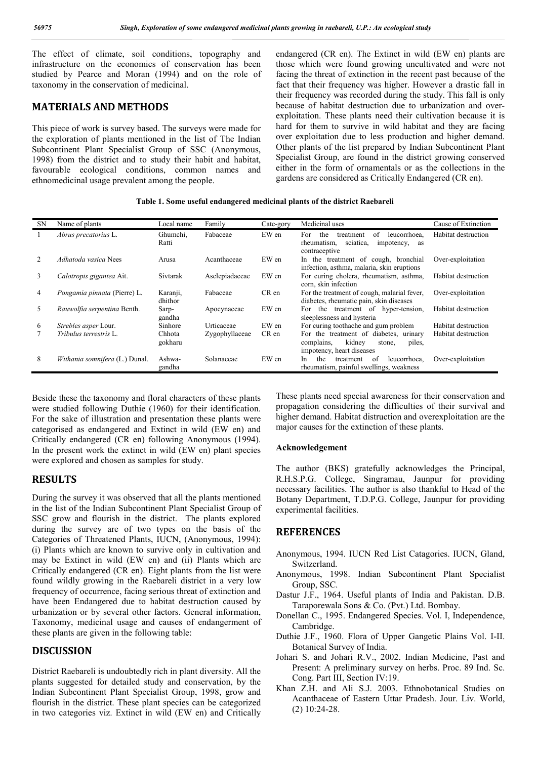The effect of climate, soil conditions, topography and infrastructure on the economics of conservation has been studied by Pearce and Moran (1994) and on the role of taxonomy in the conservation of medicinal.

#### **MATERIALS AND METHODS**

This piece of work is survey based. The surveys were made for the exploration of plants mentioned in the list of The Indian Subcontinent Plant Specialist Group of SSC (Anonymous, 1998) from the district and to study their habit and habitat, favourable ecological conditions, common names and ethnomedicinal usage prevalent among the people.

endangered (CR en). The Extinct in wild (EW en) plants are those which were found growing uncultivated and were not facing the threat of extinction in the recent past because of the fact that their frequency was higher. However a drastic fall in their frequency was recorded during the study. This fall is only because of habitat destruction due to urbanization and overexploitation. These plants need their cultivation because it is hard for them to survive in wild habitat and they are facing over exploitation due to less production and higher demand. Other plants of the list prepared by Indian Subcontinent Plant Specialist Group, are found in the district growing conserved either in the form of ornamentals or as the collections in the gardens are considered as Critically Endangered (CR en).

**Table 1. Some useful endangered medicinal plants of the district Raebareli**

| <b>SN</b> | Name of plants                 | Local name          | Family         | Cate-gory | Medicinal uses                                                                                                     | Cause of Extinction |
|-----------|--------------------------------|---------------------|----------------|-----------|--------------------------------------------------------------------------------------------------------------------|---------------------|
|           | Abrus precatorius L.           | Ghumchi,<br>Ratti   | Fabaceae       | EW en     | For<br>the<br>leucorrhoea,<br>of<br>treatment<br>sciatica.<br>rheumatism.<br>impotency,<br>as<br>contraceptive     | Habitat destruction |
| 2         | <i>Adhatoda vasica</i> Nees    | Arusa               | Acanthaceae    | EW en     | In the treatment of cough, bronchial<br>infection, asthma, malaria, skin eruptions                                 | Over-exploitation   |
| 3         | Calotropis gigantea Ait.       | Sivtarak            | Asclepiadaceae | EW en     | For curing cholera, rheumatism, asthma,<br>corn, skin infection                                                    | Habitat destruction |
| 4         | Pongamia pinnata (Pierre) L.   | Karanji,<br>dhithor | Fabaceae       | CR en     | For the treatment of cough, malarial fever,<br>diabetes, rheumatic pain, skin diseases                             | Over-exploitation   |
| 5         | Rauwolfia serpentina Benth.    | Sarp-<br>gandha     | Apocynaceae    | EW en     | For the treatment of hyper-tension,<br>sleeplessness and hysteria                                                  | Habitat destruction |
| 6         | Strebles asper Lour.           | Sinhore             | Urticaceae     | EW en     | For curing toothache and gum problem                                                                               | Habitat destruction |
|           | Tribulus terrestris L.         | Chhota<br>gokharu   | Zygophyllaceae | CR en     | For the treatment of diabetes,<br>urinary<br>kidney<br>complains,<br>piles.<br>stone,<br>impotency, heart diseases | Habitat destruction |
| 8         | Withania somnifera (L.) Dunal. | Ashwa-<br>gandha    | Solanaceae     | EW en     | of<br>In.<br>the<br>leucorrhoea,<br>treatment<br>rheumatism, painful swellings, weakness                           | Over-exploitation   |

Beside these the taxonomy and floral characters of these plants were studied following Duthie (1960) for their identification. For the sake of illustration and presentation these plants were categorised as endangered and Extinct in wild (EW en) and Critically endangered (CR en) following Anonymous (1994). In the present work the extinct in wild (EW en) plant species were explored and chosen as samples for study.

#### **RESULTS**

During the survey it was observed that all the plants mentioned in the list of the Indian Subcontinent Plant Specialist Group of SSC grow and flourish in the district. The plants explored during the survey are of two types on the basis of the Categories of Threatened Plants, IUCN, (Anonymous, 1994): (i) Plants which are known to survive only in cultivation and may be Extinct in wild (EW en) and (ii) Plants which are Critically endangered (CR en). Eight plants from the list were found wildly growing in the Raebareli district in a very low frequency of occurrence, facing serious threat of extinction and have been Endangered due to habitat destruction caused by urbanization or by several other factors. General information, Taxonomy, medicinal usage and causes of endangerment of these plants are given in the following table:

#### **DISCUSSION**

District Raebareli is undoubtedly rich in plant diversity. All the plants suggested for detailed study and conservation, by the Indian Subcontinent Plant Specialist Group, 1998, grow and flourish in the district. These plant species can be categorized in two categories viz. Extinct in wild (EW en) and Critically These plants need special awareness for their conservation and propagation considering the difficulties of their survival and higher demand. Habitat distruction and overexploitation are the major causes for the extinction of these plants.

#### **Acknowledgement**

The author (BKS) gratefully acknowledges the Principal, R.H.S.P.G. College, Singramau, Jaunpur for providing necessary facilities. The author is also thankful to Head of the Botany Department, T.D.P.G. College, Jaunpur for providing experimental facilities.

#### **REFERENCES**

- Anonymous, 1994. IUCN Red List Catagories. IUCN, Gland, Switzerland.
- Anonymous, 1998. Indian Subcontinent Plant Specialist Group, SSC.
- Dastur J.F., 1964. Useful plants of India and Pakistan. D.B. Taraporewala Sons & Co. (Pvt.) Ltd. Bombay.
- Donellan C., 1995. Endangered Species. Vol. I, Independence, Cambridge.
- Duthie J.F., 1960. Flora of Upper Gangetic Plains Vol. I-II. Botanical Survey of India.
- Johari S. and Johari R.V., 2002. Indian Medicine, Past and Present: A preliminary survey on herbs. Proc. 89 Ind. Sc. Cong. Part III, Section IV:19.
- Khan Z.H. and Ali S.J. 2003. Ethnobotanical Studies on Acanthaceae of Eastern Uttar Pradesh. Jour. Liv. World, (2) 10:24-28.